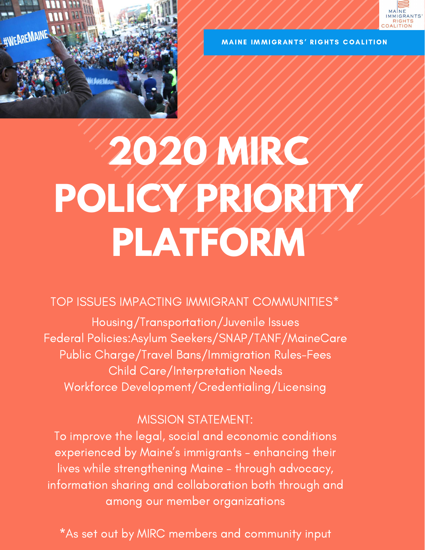

MAINE IMMIGRANTS' RIGHTS COALITION



# **2020 MIRC POLICY PRIORITY PLATFORM**

### TOP ISSUES IMPACTING IMMIGRANT COMMUNITIES\*

Housing/Transportation/Juvenile Issues Federal Policies:Asylum Seekers/SNAP/TANF/MaineCare Public Charge/Travel Bans/Immigration Rules-Fees Child Care/Interpretation Needs Workforce Development/Credentialing/Licensing

#### MISSION STATEMENT:

To improve the legal, social and economic conditions experienced by Maine ' s immigrants – enhancing their lives while strengthening Maine – through advocacy, information sharing and collaboration both through and among our member organizations

\*As set out by MIRC members and community input